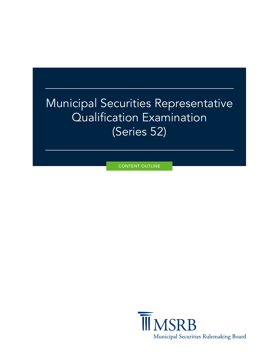# Municipal Securities Representative Qualification Examination (Series 52)

CONTENT OUTLINE

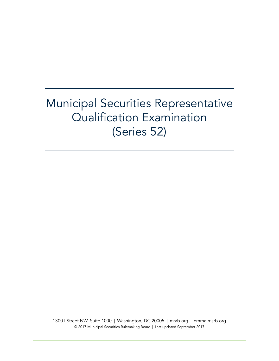# Municipal Securities Representative Qualification Examination (Series 52)

1300 I Street NW, Suite 1000 | Washington, DC 20005 | [msrb.org](http://www.msrb.org) | [emma.msrb.org](http://emma.msrb.org) © 2017 Municipal Securities Rulemaking Board | Last updated September 2017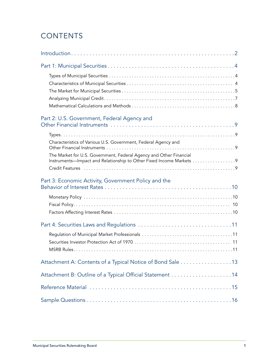# **CONTENTS**

| Part 2: U.S. Government, Federal Agency and                                                                                               |
|-------------------------------------------------------------------------------------------------------------------------------------------|
| Characteristics of Various U.S. Government, Federal Agency and                                                                            |
| The Market for U.S. Government, Federal Agency and Other Financial<br>Instruments—Impact and Relationship to Other Fixed Income Markets 9 |
| Part 3: Economic Activity, Government Policy and the                                                                                      |
|                                                                                                                                           |
|                                                                                                                                           |
|                                                                                                                                           |
| Attachment A: Contents of a Typical Notice of Bond Sale 13                                                                                |
|                                                                                                                                           |
|                                                                                                                                           |
|                                                                                                                                           |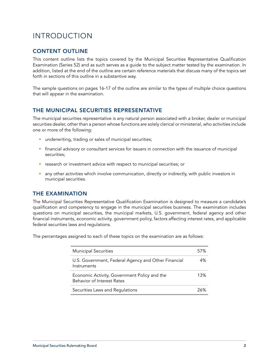# <span id="page-3-0"></span>INTRODUCTION

#### CONTENT OUTLINE

This content outline lists the topics covered by the Municipal Securities Representative Qualification Examination (Series 52) and as such serves as a guide to the subject matter tested by the examination. In addition, listed at the end of the outline are certain reference materials that discuss many of the topics set forth in sections of this outline in a substantive way.

The sample questions on pages 16-17 of the outline are similar to the types of multiple choice questions that will appear in the examination.

#### THE MUNICIPAL SECURITIES REPRESENTATIVE

The municipal securities representative is any natural person associated with a broker, dealer or municipal securities dealer, other than a person whose functions are solely clerical or ministerial, who activities include one or more of the following:

- **underwriting, trading or sales of municipal securities;**
- financial advisory or consultant services for issuers in connection with the issuance of municipal securities;
- **•** research or investment advice with respect to municipal securities; or
- **a** any other activities which involve communication, directly or indirectly, with public investors in municipal securities.

#### THE EXAMINATION

The Municipal Securities Representative Qualification Examination is designed to measure a candidate's qualification and competency to engage in the municipal securities business. The examination includes questions on municipal securities, the municipal markets, U.S. government, federal agency and other financial instruments, economic activity, government policy, factors affecting interest rates, and applicable federal securities laws and regulations.

The percentages assigned to each of these topics on the examination are as follows:

| <b>Municipal Securities</b>                                                       | 57% |
|-----------------------------------------------------------------------------------|-----|
| U.S. Government, Federal Agency and Other Financial<br>Instruments                | 4%  |
| Economic Activity, Government Policy and the<br><b>Behavior of Interest Rates</b> | 13% |
| Securities Laws and Regulations                                                   | 26% |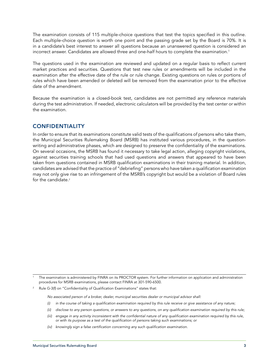The examination consists of 115 multiple-choice questions that test the topics specified in this outline. Each multiple-choice question is worth one point and the passing grade set by the Board is 70%. It is in a candidate's best interest to answer all questions because an unanswered question is considered an incorrect answer. Candidates are allowed three and one-half hours to complete the examination.<sup>1</sup>

The questions used in the examination are reviewed and updated on a regular basis to reflect current market practices and securities. Questions that test new rules or amendments will be included in the examination after the effective date of the rule or rule change. Existing questions on rules or portions of rules which have been amended or deleted will be removed from the examination prior to the effective date of the amendment.

Because the examination is a closed-book test, candidates are not permitted any reference materials during the test administration. If needed, electronic calculators will be provided by the test center or within the examination.

#### CONFIDENTIALITY

In order to ensure that its examinations constitute valid tests of the qualifications of persons who take them, the Municipal Securities Rulemaking Board (MSRB) has instituted various procedures, in the questionwriting and administrative phases, which are designed to preserve the confidentiality of the examinations. On several occasions, the MSRB has found it necessary to take legal action, alleging copyright violations, against securities training schools that had used questions and answers that appeared to have been taken from questions contained in MSRB qualification examinations in their training material. In addition, candidates are advised that the practice of "debriefing" persons who have taken a qualification examination may not only give rise to an infringement of the MSRB's copyright but would be a violation of Board rules for the candidate.<sup>2</sup>

The examination is administered by FINRA on its PROCTOR system. For further information on application and administration procedures for MSRB examinations, please contact FINRA at 301-590-6500.

Rule G-3(f) on "Confidentiality of Qualification Examinations" states that:

*No associated person of a broker, dealer, municipal securities dealer or municipal advisor shall:*

- *(i) in the course of taking a qualification examination required by this rule receive or give assistance of any nature;*
- *(ii) disclose to any person questions, or answers to any questions, on any qualification examination required by this rule;*
- *(iii) engage in any activity inconsistent with the confidential nature of any qualification examination required by this rule, or with its purpose as a test of the qualification of persons taking such examinations; or*
- *(iv) knowingly sign a false certification concerning any such qualification examination.*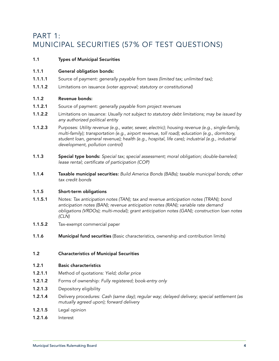# <span id="page-5-0"></span>PART 1: MUNICIPAL SECURITIES (57% OF TEST QUESTIONS)

#### 1.1 Types of Municipal Securities

#### 1.1.1 General obligation bonds:

- 1.1.1.1 Source of payment: *generally payable from taxes (limited tax; unlimited tax);*
- 1.1.1.2 Limitations on issuance *(voter approval; statutory or constitutional)*

#### 1.1.2 Revenue bonds:

- 1.1.2.1 Source of payment: *generally payable from project revenues*
- 1.1.2.2 Limitations on issuance: *Usually not subject to statutory debt limitations; may be issued by any authorized political entity*
- 1.1.2.3 Purposes: *Utility revenue (e.g., water, sewer, electric); housing revenue (e.g., single-family, multi-family); transportation (e.g., airport revenue, toll road); education (e.g., dormitory, student loan, general revenue); health (e.g., hospital, life care); industrial (e.g., industrial development, pollution control)*
- 1.1.3 Special type bonds: *Special tax; special assessment; moral obligation; double-barreled; lease rental; certificate of participation (COP)*
- 1.1.4 Taxable municipal securities: *Build America Bonds (BABs); taxable municipal bonds; other tax credit bonds*

#### 1.1.5 Short-term obligations

- 1.1.5.1 Notes: *Tax anticipation notes (TAN); tax and revenue anticipation notes (TRAN); bond anticipation notes (BAN); revenue anticipation notes (RAN); variable rate demand obligations (VRDOs); multi-modal); grant anticipation notes (GAN); construction loan notes (CLN)*
- 1.1.5.2 Tax-exempt commercial paper
- 1.1.6 **Municipal fund securities** (Basic characteristics, ownership and contribution limits)

#### 1.2 Characteristics of Municipal Securities

#### 1.2.1 Basic characteristics

- 1.2.1.1 Method of quotations: *Yield; dollar price*
- 1.2.1.2 Forms of ownership: *Fully registered; book-entry only*
- 1.2.1.3 Depository eligibility
- 1.2.1.4 Delivery procedures: *Cash (same day); regular way; delayed delivery; special settlement (as mutually agreed upon); forward delivery*
- 1.2.1.5 Legal opinion
- 1.2.1.6 Interest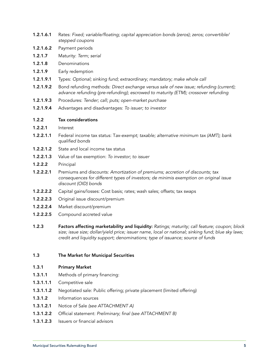- 1.2.1.6.1 Rates: *Fixed; variable/floating; capital appreciation bonds (zeros); zeros; convertible/ stepped coupons*
- 1.2.1.6.2 Payment periods
- 1.2.1.7 Maturity: *Term; serial*
- 1.2.1.8 Denominations
- 1.2.1.9 Early redemption
- 1.2.1.9.1 Types: *Optional; sinking fund; extraordinary; mandatory; make whole call*
- 1.2.1.9.2 Bond refunding methods: *Direct exchange versus sale of new issue; refunding (current);*  advance refunding (pre-refunding); escrowed to maturity (ETM); crossover refunding
- 1.2.1.9.3 Procedures: *Tender; call; puts; open-market purchase*
- 1.2.1.9.4 Advantages and disadvantages: *To issuer; to investor*

#### 1.2.2 Tax considerations

- 1.2.2.1 Interest
- 1.2.2.1.1 Federal income tax status: T*ax-exempt; taxable; alternative minimum tax (AMT); bank qualified bonds*
- **1.2.2.1.2** State and local income tax status
- 1.2.2.1.3 Value of tax exemption: *To investor; to issuer*
- 1.2.2.2 Principal
- 1.2.2.2.1 Premiums and discounts: *Amortization of premiums; accretion of discounts; tax consequences for different types of investors; de minimis exemption on original issue discount (OID) bonds*
- **1.2.2.2.2** Capital gains/losses: Cost basis; rates; wash sales; offsets; tax swaps
- 1.2.2.2.3 Original issue discount/premium
- 1.2.2.2.4 Market discount/premium
- 1.2.2.2.5 Compound accreted value
- 1.2.3 Factors affecting marketability and liquidity: *Ratings; maturity; call feature; coupon; block size; issue size; dollar/yield price; issuer name, local or national; sinking fund; blue sky laws; credit and liquidity support; denominations; type of issuance; source of funds*

#### 1.3 The Market for Municipal Securities

- 1.3.1 Primary Market
- 1.3.1.1 Methods of primary financing:
- 1.3.1.1.1 Competitive sale
- 1.3.1.1.2 Negotiated sale: Public offering; private placement (limited offering)
- 1.3.1.2 Information sources
- 1.3.1.2.1 Notice of Sale *(see ATTACHMENT A)*
- 1.3.1.2.2 Official statement: *Preliminary; final (see ATTACHMENT B)*
- 1.3.1.2.3 Issuers or financial advisors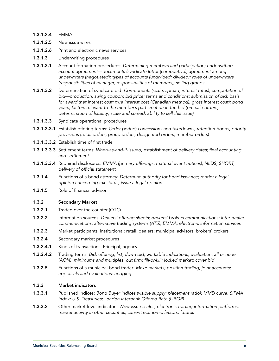#### 1.3.1.2.4 EMMA

- 1.3.1.2.5 New issue wires
- 1.3.1.2.6 Print and electronic news services
- 1.3.1.3 Underwriting procedures
- 1.3.1.3.1 Account formation procedures: *Determining members and participation; underwriting account agreement—documents (syndicate letter (competitive); agreement among underwriters (negotiated); types of accounts (undivided; divided); roles of underwriters (responsibilities of manager, responsibilities of members); selling groups*
- 1.3.1.3.2 Determination of syndicate bid: *Components (scale, spread, interest rates); computation of bid—production, swing coupon; bid price; terms and conditions; submission of bid; basis for award (net interest cost; true interest cost (Canadian method); gross interest cost); bond years; factors relevant to the member's participation in the bid (pre-sale orders; determination of liability; scale and spread; ability to sell this issue)*
- 1.3.1.3.3 Syndicate operational procedures
- 1.3.1.3.3.1 Establish offering terms: *Order period; concessions and takedowns; retention bonds; priority provisions (retail orders; group orders; designated orders; member orders)*
- 1.3.1.3.3.2 Establish time of first trade
- 1.3.1.3.3.3 Settlement terms: *When-as-and-if-issued; establishment of delivery dates; final accounting and settlement*
- 1.3.1.3.3.4 Required disclosures: *EMMA (primary offerings, material event notices); NIIDS; SHORT; delivery of official statement*
- 1.3.1.4 Functions of a bond attorney: *Determine authority for bond issuance; render a legal opinion concerning tax status; issue a legal opinion*
- 1.3.1.5 Role of financial advisor

#### 1.3.2 Secondary Market

- 1.3.2.1 Traded over-the-counter (OTC)
- 1.3.2.2 Information sources: *Dealers' offering sheets; brokers' brokers communications; inter-dealer communications; alternative trading systems (ATS); EMMA; electronic information services*
- 1.3.2.3 Market participants: Institutional; retail; dealers; municipal advisors; brokers' brokers
- 1.3.2.4 Secondary market procedures
- 1.3.2.4.1 Kinds of transactions: Principal; agency
- 1.3.2.4.2 Trading terms: *Bid; offering; list; down bid; workable indications; evaluation; all or none (AON); minimums and multiples; out firm; fill-or-kill; locked market; cover bid*
- 1.3.2.5 Functions of a municipal bond trader: *Make markets; position trading; joint accounts; appraisals and evaluations; hedging*

#### 1.3.3 Market indicators

- 1.3.3.1 Published indices: *Bond Buyer indices (visible supply; placement ratio); MMD curve; SIFMA index; U.S. Treasuries; London Interbank Offered Rate (LIBOR)*
- 1.3.3.2 Other market-level indicators: *New-issue scales; electronic trading information platforms; market activity in other securities; current economic factors; futures*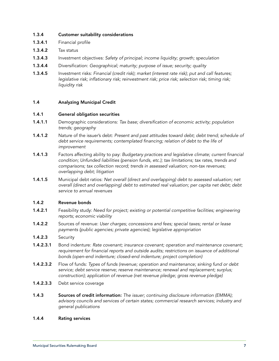#### 1.3.4 Customer suitability considerations

- 1.3.4.1 Financial profile
- 1.3.4.2 Tax status
- 1.3.4.3 Investment objectives: *Safety of principal; income liquidity; growth; speculation*
- 1.3.4.4 Diversification: *Geographical; maturity; purpose of issue; security; quality*
- 1.3.4.5 Investment risks: *Financial (credit risk); market (interest rate risk); put and call features; legislative risk; inflationary risk; reinvestment risk; price risk; selection risk; timing risk; liquidity risk*

#### 1.4 Analyzing Municipal Credit

#### 1.4.1 General obligation securities

- 1.4.1.1 Demographic considerations: *Tax base; diversification of economic activity; population trends; geography*
- 1.4.1.2 Nature of the issuer's debt: *Present and past attitudes toward debt; debt trend; schedule of debt service requirements; contemplated financing; relation of debt to the life of improvement*
- 1.4.1.3 Factors affecting ability to pay: *Budgetary practices and legislative climate; current financial condition; Unfunded liabilities (pension funds, etc.); tax limitations; tax rates, trends and comparisons; tax collection record; trends in assessed valuation; non-tax revenues; overlapping debt; litigation*
- 1.4.1.5 Municipal debt ratios: *Net overall (direct and overlapping) debt to assessed valuation; net overall (direct and overlapping) debt to estimated real valuation; per capita net debt; debt service to annual revenues*

#### 1.4.2 Revenue bonds

- 1.4.2.1 Feasibility study: *Need for project; existing or potential competitive facilities; engineering reports; economic viability*
- 1.4.2.2 Sources of revenue: *User charges; concessions and fees; special taxes; rental or lease payments (public agencies; private agencies); legislative appropriation*
- 1.4.2.3 Security
- 1.4.2.3.1 Bond indenture: *Rate covenant; insurance covenant; operation and maintenance covenant;*  requirement for financial reports and outside audits; restrictions on issuance of additional *bonds (open-end indenture; closed-end indenture; project completion)*
- 1.4.2.3.2 Flow of funds: *Types of funds (revenue; operation and maintenance; sinking fund or debt service; debt service reserve; reserve maintenance; renewal and replacement; surplus; construction); application of revenue (net revenue pledge; gross revenue pledge)*
- 1.4.2.3.3 Debt service coverage
- 1.4.3 Sources of credit information: *The issuer; continuing disclosure information (EMMA); advisory councils and services of certain states; commercial research services; industry and general publications*

#### 1.4.4 Rating services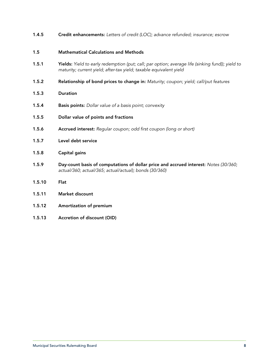1.4.5 Credit enhancements: *Letters of credit (LOC); advance refunded; insurance; escrow*

#### 1.5 Mathematical Calculations and Methods

- 1.5.1 Yields: *Yield to early redemption (put; call; par option; average life (sinking fund)); yield to maturity; current yield; after-tax yield; taxable equivalent yield*
- 1.5.2 Relationship of bond prices to change in: *Maturity; coupon; yield; call/put features*

#### 1.5.3 Duration

- 1.5.4 Basis points: *Dollar value of a basis point; convexity*
- 1.5.5 Dollar value of points and fractions
- 1.5.6 Accrued interest: *Regular coupon; odd first coupon (long or short)*
- 1.5.7 Level debt service
- 1.5.8 Capital gains
- 1.5.9 Day-count basis of computations of dollar price and accrued interest: *Notes (30/360; actual/360; actual/365; actual/actual); bonds (30/360)*
- 1.5.10 Flat
- 1.5.11 Market discount
- 1.5.12 Amortization of premium
- 1.5.13 Accretion of discount (OID)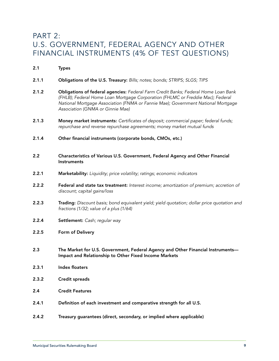### <span id="page-10-0"></span>PART 2: U.S. GOVERNMENT, FEDERAL AGENCY AND OTHER FINANCIAL INSTRUMENTS (4% OF TEST QUESTIONS)

- 2.1 Types
- 2.1.1 Obligations of the U.S. Treasury: *Bills; notes; bonds; STRIPS; SLGS; TIPS*
- 2.1.2 Obligations of federal agencies: *Federal Farm Credit Banks; Federal Home Loan Bank (FHLB); Federal Home Loan Mortgage Corporation (FHLMC or Freddie Mac); Federal National Mortgage Association (FNMA or Fannie Mae); Government National Mortgage Association (GNMA or Ginnie Mae)*
- 2.1.3 Money market instruments: *Certificates of deposit; commercial paper; federal funds; repurchase and reverse repurchase agreements; money market mutual funds*
- 2.1.4 Other financial instruments (corporate bonds, CMOs, etc.)
- 2.2 Characteristics of Various U.S. Government, Federal Agency and Other Financial **Instruments**
- 2.2.1 Marketability: *Liquidity; price volatility; ratings; economic indicators*
- 2.2.2 Federal and state tax treatment: *Interest income; amortization of premium; accretion of discount; capital gains/loss*
- 2.2.3 Trading: *Discount basis; bond equivalent yield; yield quotation; dollar price quotation and fractions (1/32; value of a plus (1/64)*
- 2.2.4 Settlement: *Cash; regular way*
- 2.2.5 Form of Delivery
- 2.3 The Market for U.S. Government, Federal Agency and Other Financial Instruments— Impact and Relationship to Other Fixed Income Markets
- 2.3.1 Index floaters
- 2.3.2 Credit spreads
- 2.4 Credit Features
- 2.4.1 Definition of each investment and comparative strength for all U.S.
- 2.4.2 Treasury guarantees (direct, secondary, or implied where applicable)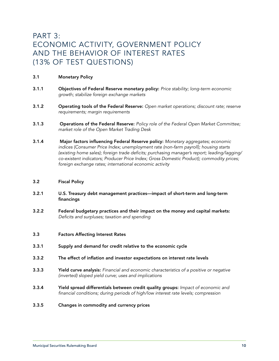# <span id="page-11-0"></span>PART 3: ECONOMIC ACTIVITY, GOVERNMENT POLICY AND THE BEHAVIOR OF INTEREST RATES (13% OF TEST QUESTIONS)

#### 3.1 Monetary Policy

- 3.1.1 Objectives of Federal Reserve monetary policy: *Price stability; long-term economic growth; stabilize foreign exchange markets*
- 3.1.2 Operating tools of the Federal Reserve: *Open market operations; discount rate; reserve requirements; margin requirements*
- 3.1.3 Operations of the Federal Reserve: *Policy role of the Federal Open Market Committee; market role of the Open Market Trading Desk*
- 3.1.4 Major factors influencing Federal Reserve policy: *Monetary aggregates; economic indices (Consumer Price Index; unemployment rate (non-farm payroll); housing starts (existing home sales); foreign trade deficits; purchasing manager's report; leading/lagging/ co-existent indicators; Producer Price Index; Gross Domestic Product); commodity prices; foreign exchange rates; international economic activity*

#### 3.2 Fiscal Policy

- 3.2.1 U.S. Treasury debt management practices—impact of short-term and long-term financings
- 3.2.2 Federal budgetary practices and their impact on the money and capital markets: *Deficits and surpluses; taxation and spending*
- 3.3 Factors Affecting Interest Rates
- 3.3.1 Supply and demand for credit relative to the economic cycle
- 3.3.2 The effect of inflation and investor expectations on interest rate levels
- 3.3.3 Yield curve analysis: *Financial and economic characteristics of a positive or negative (inverted) sloped yield curve; uses and implications*
- 3.3.4 Yield spread differentials between credit quality groups: *Impact of economic and financial conditions; during periods of high/low interest rate levels; compression*
- 3.3.5 Changes in commodity and currency prices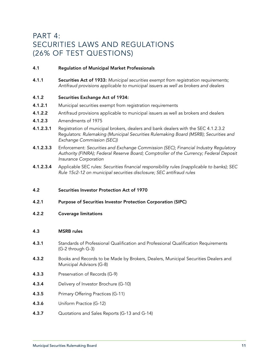## <span id="page-12-0"></span>PART 4: SECURITIES LAWS AND REGULATIONS (26% OF TEST QUESTIONS)

#### 4.1 Regulation of Municipal Market Professionals

4.1.1 Securities Act of 1933: *Municipal securities exempt from registration requirements; Antifraud provisions applicable to municipal issuers as well as brokers and dealers*

#### 4.1.2 Securities Exchange Act of 1934:

- 4.1.2.1 Municipal securities exempt from registration requirements
- 4.1.2.2 Antifraud provisions applicable to municipal issuers as well as brokers and dealers
- 4.1.2.3 Amendments of 1975
- 4.1.2.3.1 Registration of municipal brokers, dealers and bank dealers with the SEC 4.1.2.3.2 Regulators: *Rulemaking (Municipal Securities Rulemaking Board (MSRB); Securities and Exchange Commission (SEC))*
- 4.1.2.3.3 Enforcement: *Securities and Exchange Commission (SEC); Financial Industry Regulatory Authority (FINRA); Federal Reserve Board; Comptroller of the Currency; Federal Deposit Insurance Corporation*
- 4.1.2.3.4 Applicable SEC rules: *Securities financial responsibility rules (inapplicable to banks); SEC Rule 15c2-12 on municipal securities disclosure; SEC antifraud rules*

#### 4.2 Securities Investor Protection Act of 1970

- 4.2.1 Purpose of Securities Investor Protection Corporation (SIPC)
- 4.2.2 Coverage limitations

#### 4.3 MSRB rules

- 4.3.1 Standards of Professional Qualification and Professional Qualification Requirements (G-2 through G-3)
- **4.3.2** Books and Records to be Made by Brokers, Dealers, Municipal Securities Dealers and Municipal Advisors (G-8)
- 4.3.3 Preservation of Records (G-9)
- 4.3.4 Delivery of Investor Brochure (G-10)
- 4.3.5 Primary Offering Practices (G-11)
- 4.3.6 Uniform Practice (G-12)
- 4.3.7 Quotations and Sales Reports (G-13 and G-14)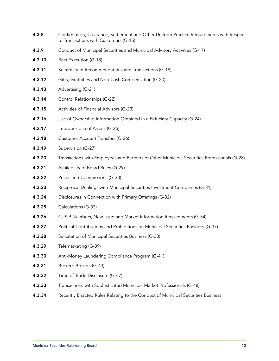- 4.3.8 Confirmation, Clearance, Settlement and Other Uniform Practice Requirements with Respect to Transactions with Customers (G-15)
- 4.3.9 Conduct of Municipal Securities and Municipal Advisory Activities (G-17)
- 4.3.10 Best Execution (G-18)
- **4.3.11** Suitability of Recommendations and Transactions (G-19)
- 4.3.12 Gifts, Gratuities and Non-Cash Compensation (G-20)
- 4.3.13 Advertising (G-21)
- 4.3.14 Control Relationships (G-22)
- 4.3.15 Activities of Financial Advisors (G-23)
- 4.3.16 Use of Ownership Information Obtained in a Fiduciary Capacity (G-24)
- 4.3.17 Improper Use of Assets (G-25)
- 4.3.18 Customer Account Transfers (G-26)
- 4.3.19 Supervision (G-27)
- 4.3.20 Transactions with Employees and Partners of Other Municipal Securities Professionals (G-28)
- 4.3.21 Availability of Board Rules (G-29)
- 4.3.22 Prices and Commissions (G-30)
- 4.3.23 Reciprocal Dealings with Municipal Securities Investment Companies (G-31)
- 4.3.24 Disclosures in Connection with Primary Offerings (G-32)
- 4.3.25 Calculations (G-33)
- 4.3.26 CUSIP Numbers, New Issue and Market Information Requirements (G-34)
- 4.3.27 Political Contributions and Prohibitions on Municipal Securities Business (G-37)
- 4.3.28 Solicitation of Municipal Securities Business (G-38)
- 4.3.29 Telemarketing (G-39)
- 4.3.30 Anti-Money Laundering Compliance Program (G-41)
- 4.3.31 Broker's Brokers (G-43)
- 4.3.32 Time of Trade Disclosure (G-47)
- 4.3.33 Transactions with Sophisticated Municipal Market Professionals (G-48)
- **4.3.34** Recently Enacted Rules Relating to the Conduct of Municipal Securities Business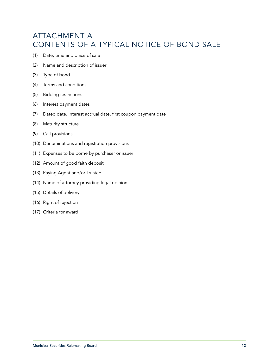# <span id="page-14-0"></span>ATTACHMENT A CONTENTS OF A TYPICAL NOTICE OF BOND SALE

- (1) Date, time and place of sale
- (2) Name and description of issuer
- (3) Type of bond
- (4) Terms and conditions
- (5) Bidding restrictions
- (6) Interest payment dates
- (7) Dated date, interest accrual date, first coupon payment date
- (8) Maturity structure
- (9) Call provisions
- (10) Denominations and registration provisions
- (11) Expenses to be borne by purchaser or issuer
- (12) Amount of good faith deposit
- (13) Paying Agent and/or Trustee
- (14) Name of attorney providing legal opinion
- (15) Details of delivery
- (16) Right of rejection
- (17) Criteria for award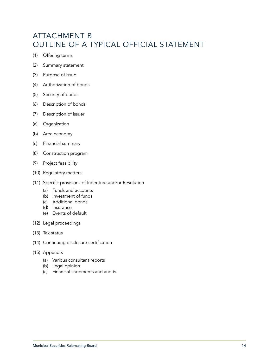# <span id="page-15-0"></span>ATTACHMENT B OUTLINE OF A TYPICAL OFFICIAL STATEMENT

- (1) Offering terms
- (2) Summary statement
- (3) Purpose of issue
- (4) Authorization of bonds
- (5) Security of bonds
- (6) Description of bonds
- (7) Description of issuer
- (a) Organization
- (b) Area economy
- (c) Financial summary
- (8) Construction program
- (9) Project feasibility
- (10) Regulatory matters
- (11) Specific provisions of Indenture and/or Resolution
	- (a) Funds and accounts
	- (b) Investment of funds
	- (c) Additional bonds
	- (d) Insurance
	- (e) Events of default
- (12) Legal proceedings
- (13) Tax status
- (14) Continuing disclosure certification
- (15) Appendix
	- (a) Various consultant reports
	- (b) Legal opinion
	- (c) Financial statements and audits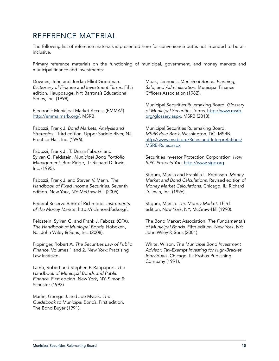## <span id="page-16-0"></span>REFERENCE MATERIAL

The following list of reference materials is presented here for convenience but is not intended to be allinclusive.

Primary reference materials on the functioning of municipal, government, and money markets and municipal finance and investments:

Downes, John and Jordan Elliot Goodman. *Dictionary of Finance and Investment Terms*. Fifth edition. Hauppauge, NY: Barrons's Educational Series, Inc. (1998).

Electronic Municipal Market Access (EMMA®). [http://emma.msrb.org/.](http://emma.msrb.org/) MSRB.

Fabozzi, Frank J. *Bond Markets, Analysis and Strategies*. Third edition. Upper Saddle River, NJ: Prentice-Hall, Inc. (1996).

Fabozzi, Frank J., T. Dessa Fabozzi and Sylvan G. Feldstein. *Municipal Bond Portfolio Management*. Burr Ridge, IL: Richard D. Irwin, Inc. (1995).

Fabozzi, Frank J. and Steven V. Mann. *The Handbook of Fixed Income Securities*. Seventh edition. New York, NY: McGraw-Hill (2005).

Federal Reserve Bank of Richmond. *Instruments of the Money Market.* http://richmondfed.org/.

Feldstein, Sylvan G. and Frank J. Fabozzi (CFA). *The Handbook of Municipal Bonds*. Hoboken, NJ: John Wiley & Sons, Inc. (2008).

Fippinger, Robert A. *The Securities Law of Public Finance*. Volumes 1 and 2. New York: Practising Law Institute.

Lamb, Robert and Stephen P. Rappaport. *The Handbook of Municipal Bonds and Public Finance*. First edition. New York, NY: Simon & Schuster (1993).

Marlin, George J. and Joe Mysak. *The Guidebook to Municipal Bonds*. First edition. The Bond Buyer (1991).

Moak, Lennox L. *Municipal Bonds: Planning, Sale, and Administration*. Municipal Finance Officers Association (1982).

Municipal Securities Rulemaking Board. *Glossary of Municipal Securities Terms*. [http://www.msrb.](http://www.msrb.org/glossary.aspx) [org/glossary.aspx.](http://www.msrb.org/glossary.aspx) MSRB (2013).

Municipal Securities Rulemaking Board. *MSRB Rule Book*. Washington, DC: MSRB. http://www.msrb.org/Rules-and-Interpretations/ MSRB-Rules.aspx

Securities Investor Protection Corporation. *How SIPC Protects You*[. http://www.sipc.org.](http://www.sipc.org)

Stigum, Marcia and Franklin L. Robinson. *Money Market and Bond Calculations*. Revised edition of *Money Market Calculations*. Chicago, IL: Richard D. Irwin, Inc. (1996).

Stigum, Marcia. *The Money Market*. Third edition. New York, NY: McGraw-Hill (1990).

The Bond Market Association. *The Fundamentals of Municipal Bonds*. Fifth edition. New York, NY: John Wiley & Sons (2001).

White, Wilson. *The Municipal Bond Investment Advisor: Tax-Exempt Investing for High-Bracket Individuals*. Chicago, IL: Probus Publishing Company (1991).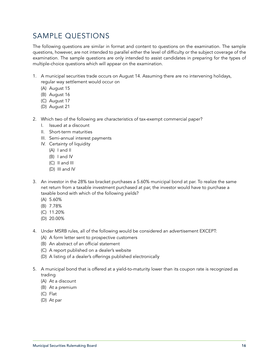# <span id="page-17-0"></span>SAMPLE QUESTIONS

The following questions are similar in format and content to questions on the examination. The sample questions, however, are not intended to parallel either the level of difficulty or the subject coverage of the examination. The sample questions are only intended to assist candidates in preparing for the types of multiple-choice questions which will appear on the examination.

- 1. A municipal securities trade occurs on August 14. Assuming there are no intervening holidays, regular way settlement would occur on
	- (A) August 15
	- (B) August 16
	- (C) August 17
	- (D) August 21
- 2. Which two of the following are characteristics of tax-exempt commercial paper?
	- I. Issued at a discount
	- II. Short-term maturities
	- III. Semi-annual interest payments
	- IV. Certainty of liquidity
		- (A) I and II
		- (B) I and IV
		- (C) II and III
		- (D) III and IV
- 3. An investor in the 28% tax bracket purchases a 5.60% municipal bond at par. To realize the same net return from a taxable investment purchased at par, the investor would have to purchase a taxable bond with which of the following yields?
	- (A) 5.60%
	- (B) 7.78%
	- (C) 11.20%
	- (D) 20.00%
- 4. Under MSRB rules, all of the following would be considered an advertisement EXCEPT:
	- (A) A form letter sent to prospective customers
	- (B) An abstract of an official statement
	- (C) A report published on a dealer's website
	- (D) A listing of a dealer's offerings published electronically
- 5. A municipal bond that is offered at a yield-to-maturity lower than its coupon rate is recognized as trading
	- (A) At a discount
	- (B) At a premium
	- (C) Flat
	- (D) At par